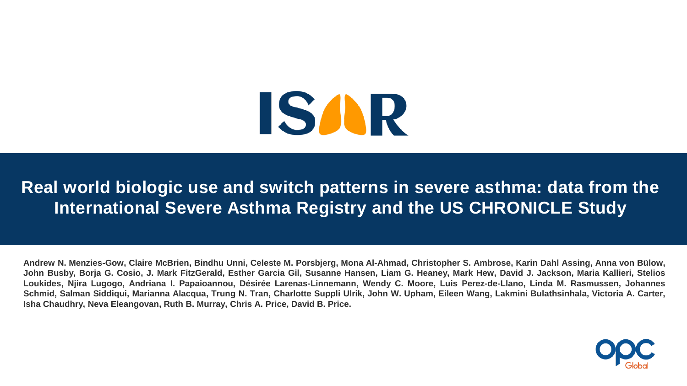

**Real world biologic use and switch patterns in severe asthma: data from the International Severe Asthma Registry and the US CHRONICLE Study**

Andrew N. Menzies-Gow, Claire McBrien, Bindhu Unni, Celeste M. Porsbjerg, Mona Al-Ahmad, Christopher S. Ambrose, Karin Dahl Assing, Anna von Bülow, John Busby, Borja G. Cosio, J. Mark FitzGerald, Esther Garcia Gil, Susanne Hansen, Liam G. Heaney, Mark Hew, David J. Jackson, Maria Kallieri, Stelios Loukides, Njira Lugogo, Andriana I. Papaioannou, Désirée Larenas-Linnemann, Wendy C. Moore, Luis Perez-de-Llano, Linda M. Rasmussen, Johannes Schmid, Salman Siddiqui, Marianna Alacqua, Trung N. Tran, Charlotte Suppli Ulrik, John W. Upham, Eileen Wang, Lakmini Bulathsinhala, Victoria A. Carter, **Isha Chaudhry, Neva Eleangovan, Ruth B. Murray, Chris A. Price, David B. Price.**

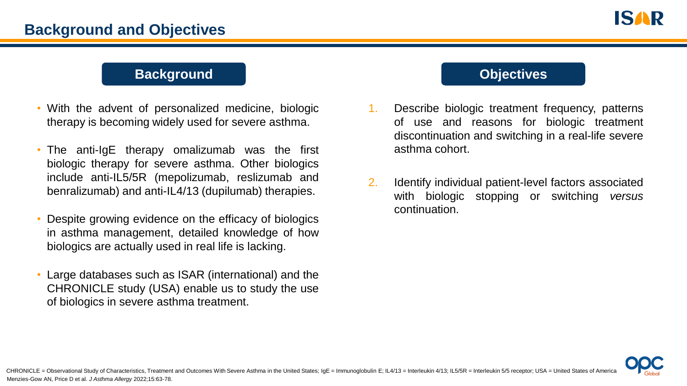#### **Background Company <b>CODIC CODIC CODIC CODIC CODIC CODIC CODIC CODIC CODIC CODIC CODIC CODIC CODIC CODIC CODIC CODIC CODIC CODIC CODIC**

- With the advent of personalized medicine, biologic therapy is becoming widely used for severe asthma.
- The anti-IgE therapy omalizumab was the first biologic therapy for severe asthma. Other biologics include anti-IL5/5R (mepolizumab, reslizumab and benralizumab) and anti-IL4/13 (dupilumab) therapies.
- Despite growing evidence on the efficacy of biologics in asthma management, detailed knowledge of how biologics are actually used in real life is lacking.
- Large databases such as ISAR (international) and the CHRONICLE study (USA) enable us to study the use of biologics in severe asthma treatment.

- 1. Describe biologic treatment frequency, patterns of use and reasons for biologic treatment discontinuation and switching in a real-life severe asthma cohort.
- 2. Identify individual patient-level factors associated with biologic stopping or switching *versus* continuation.

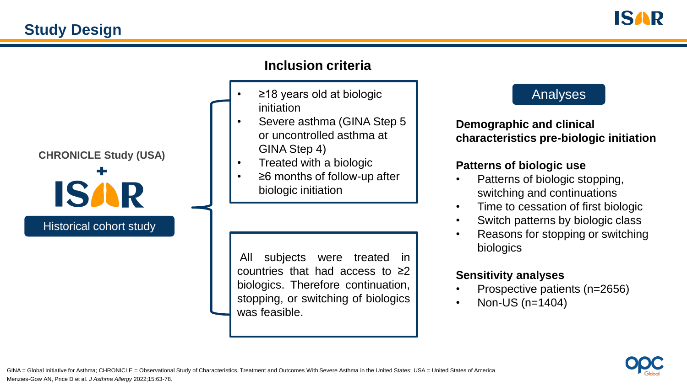



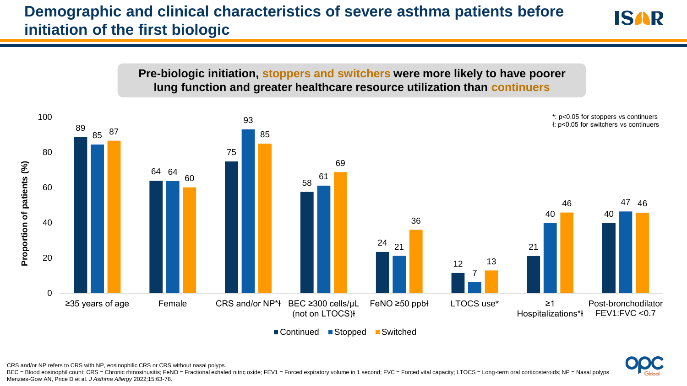# **Demographic and clinical characteristics of severe asthma patients before initiation of the first biologic**





■ Continued ■ Stopped ■ Switched

CRS and/or NP refers to CRS with NP, eosinophilic CRS or CRS without nasal polyps.

Menzies-Gow AN, Price D et al. *J Asthma Allergy* 2022;15:63-78. BEC = Blood eosinophil count; CRS = Chronic rhinosinusitis; FeNO = Fractional exhaled nitric oxide; FEV1 = Forced expiratory volume in 1 second; FVC = Forced vital capacity; LTOCS = Long-term oral corticosteroids; NP = Nas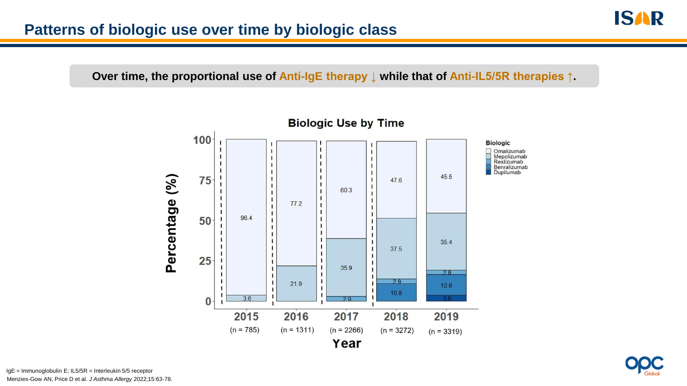**Over time, the proportional use of Anti-IgE therapy ↓ while that of Anti-IL5/5R therapies ↑.**





Menzies-Gow AN, Price D et al. *J Asthma Allergy* 2022;15:63-78. IgE = Immunoglobulin E; IL5/5R = Interleukin 5/5 receptor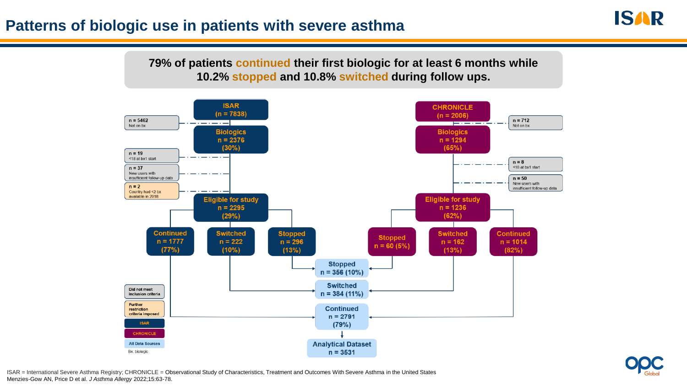#### **Patterns of biologic use in patients with severe asthma**





ISAR = International Severe Asthma Registry; CHRONICLE = Observational Study of Characteristics, Treatment and Outcomes With Severe Asthma in the United States Menzies-Gow AN, Price D et al. *J Asthma Allergy* 2022;15:63-78.

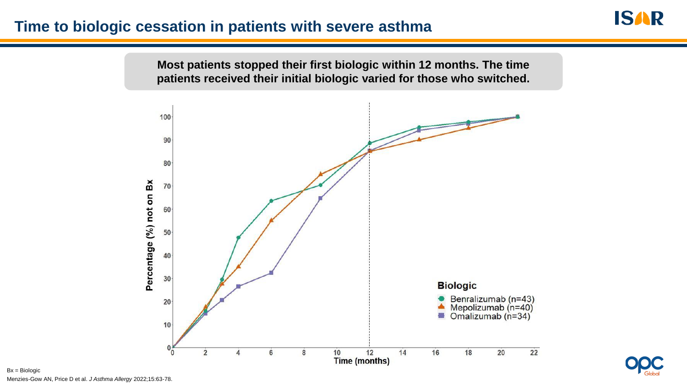### **Time to biologic cessation in patients with severe asthma**





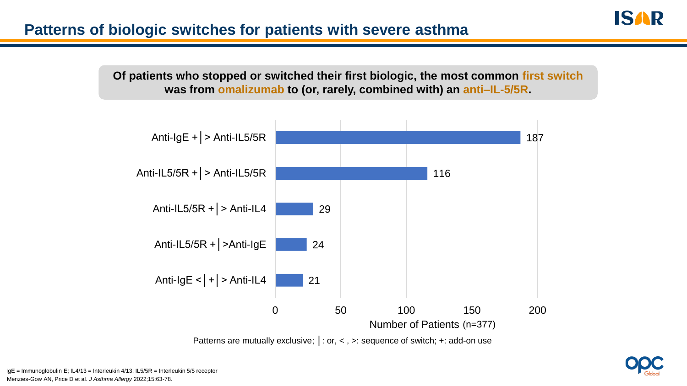#### **Patterns of biologic switches for patients with severe asthma**

**Of patients who stopped or switched their first biologic, the most common first switch was from omalizumab to (or, rarely, combined with) an anti–IL-5/5R.**



Patterns are mutually exclusive; |: or, <, >: sequence of switch; +: add-on use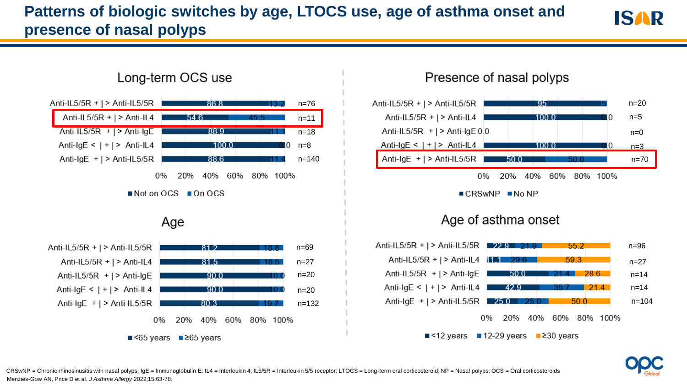# **Patterns of biologic switches by age, LTOCS use, age of asthma onset and presence of nasal polyps**





#### Presence of nasal polyps



 $\blacksquare$  CRSwNP  $\blacksquare$  No NP

#### Age of asthma onset

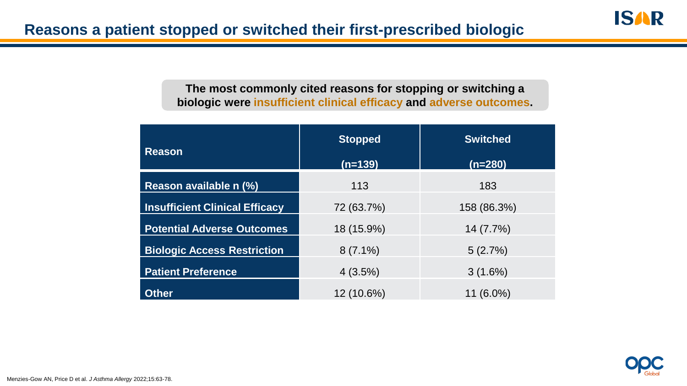**The most commonly cited reasons for stopping or switching a biologic were insufficient clinical efficacy and adverse outcomes.**

| <b>Reason</b>                         | <b>Stopped</b> | <b>Switched</b> |
|---------------------------------------|----------------|-----------------|
|                                       | $(n=139)$      | $(n=280)$       |
| Reason available n (%)                | 113            | 183             |
| <b>Insufficient Clinical Efficacy</b> | 72 (63.7%)     | 158 (86.3%)     |
| <b>Potential Adverse Outcomes</b>     | 18 (15.9%)     | 14 (7.7%)       |
| <b>Biologic Access Restriction</b>    | $8(7.1\%)$     | 5(2.7%)         |
| <b>Patient Preference</b>             | 4(3.5%)        | 3(1.6%)         |
| <b>Other</b>                          | 12 (10.6%)     | 11 (6.0%)       |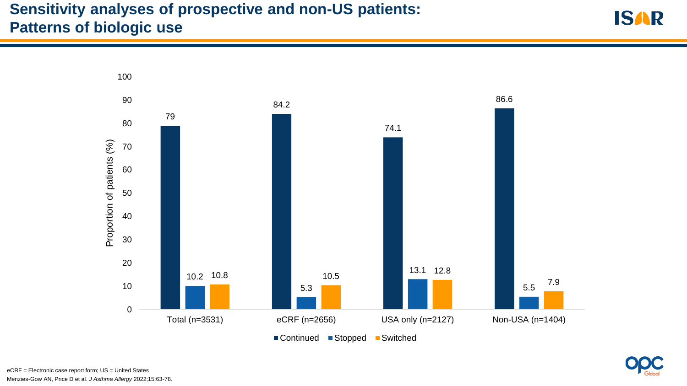# **Sensitivity analyses of prospective and non-US patients: Patterns of biologic use**





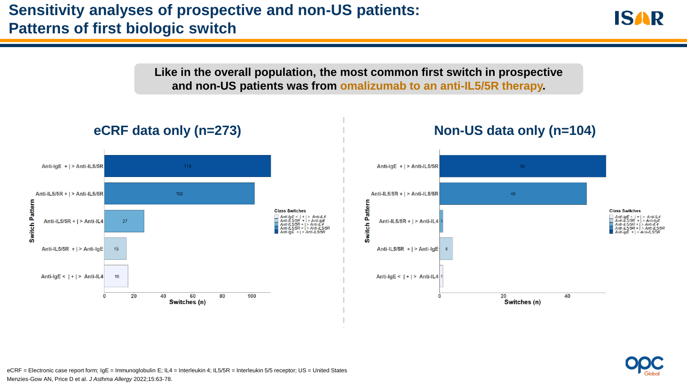## **Sensitivity analyses of prospective and non-US patients: Patterns of first biologic switch**





Menzies-Gow AN, Price D et al. *J Asthma Allergy* 2022;15:63-78. eCRF = Electronic case report form; IgE = Immunoglobulin E; IL4 = Interleukin 4; IL5/5R = Interleukin 5/5 receptor; US = United States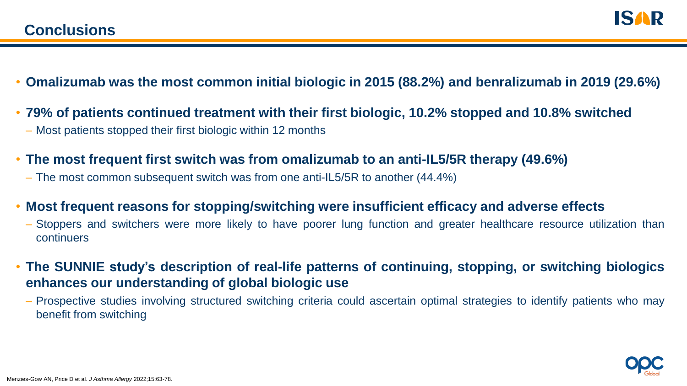

- **Omalizumab was the most common initial biologic in 2015 (88.2%) and benralizumab in 2019 (29.6%)**
- **79% of patients continued treatment with their first biologic, 10.2% stopped and 10.8% switched**
	- Most patients stopped their first biologic within 12 months
- **The most frequent first switch was from omalizumab to an anti-IL5/5R therapy (49.6%)**
	- The most common subsequent switch was from one anti-IL5/5R to another (44.4%)
- **Most frequent reasons for stopping/switching were insufficient efficacy and adverse effects**
	- Stoppers and switchers were more likely to have poorer lung function and greater healthcare resource utilization than continuers
- **The SUNNIE study's description of real-life patterns of continuing, stopping, or switching biologics enhances our understanding of global biologic use**
	- Prospective studies involving structured switching criteria could ascertain optimal strategies to identify patients who may benefit from switching